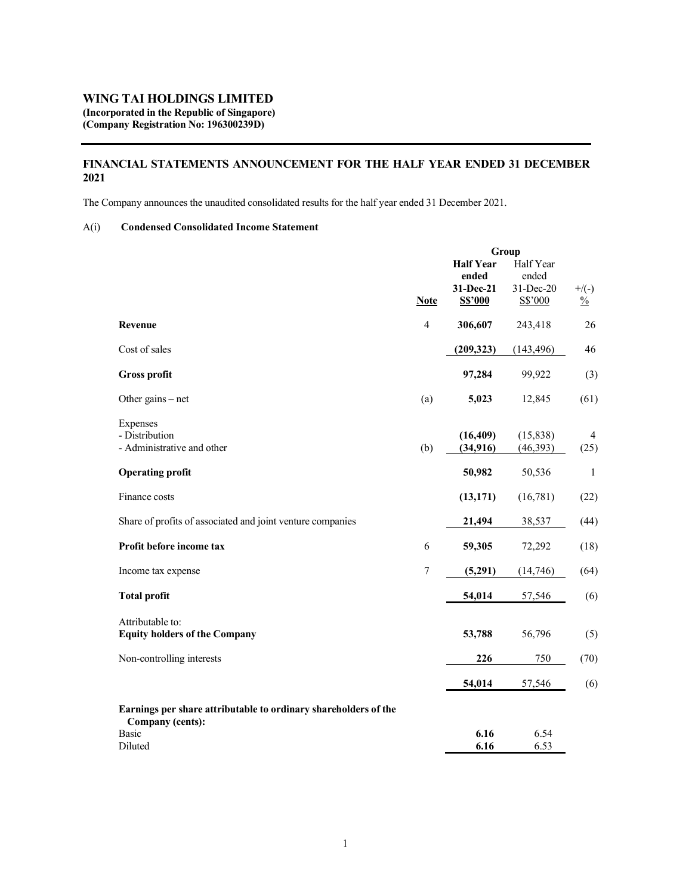## WING TAI HOLDINGS LIMITED (Incorporated in the Republic of Singapore) (Company Registration No: 196300239D)

# FINANCIAL STATEMENTS ANNOUNCEMENT FOR THE HALF YEAR ENDED 31 DECEMBER 2021

The Company announces the unaudited consolidated results for the half year ended 31 December 2021.

## A(i) Condensed Consolidated Income Statement

|                                                                 | Group          |                  |            |               |
|-----------------------------------------------------------------|----------------|------------------|------------|---------------|
|                                                                 |                | <b>Half Year</b> | Half Year  |               |
|                                                                 |                | ended            | ended      |               |
|                                                                 |                | 31-Dec-21        | 31-Dec-20  | $+$ /(-)      |
|                                                                 | <b>Note</b>    | <b>S\$'000</b>   | S\$'000    | $\frac{0}{0}$ |
| Revenue                                                         | $\overline{4}$ | 306,607          | 243,418    | 26            |
| Cost of sales                                                   |                | (209, 323)       | (143, 496) | 46            |
| <b>Gross profit</b>                                             |                | 97,284           | 99,922     | (3)           |
| Other gains $-$ net                                             | (a)            | 5,023            | 12,845     | (61)          |
| Expenses                                                        |                |                  |            |               |
| - Distribution                                                  |                | (16, 409)        | (15, 838)  | 4             |
| - Administrative and other                                      | (b)            | (34, 916)        | (46, 393)  | (25)          |
| <b>Operating profit</b>                                         |                | 50,982           | 50,536     | $\mathbf{1}$  |
| Finance costs                                                   |                | (13, 171)        | (16,781)   | (22)          |
| Share of profits of associated and joint venture companies      |                | 21,494           | 38,537     | (44)          |
| Profit before income tax                                        | 6              | 59,305           | 72,292     | (18)          |
| Income tax expense                                              | 7              | (5,291)          | (14, 746)  | (64)          |
| <b>Total profit</b>                                             |                | 54,014           | 57,546     | (6)           |
| Attributable to:                                                |                |                  |            |               |
| <b>Equity holders of the Company</b>                            |                | 53,788           | 56,796     | (5)           |
| Non-controlling interests                                       |                | 226              | 750        | (70)          |
|                                                                 |                | 54,014           | 57,546     | (6)           |
| Earnings per share attributable to ordinary shareholders of the |                |                  |            |               |
| <b>Company (cents):</b><br>Basic                                |                | 6.16             | 6.54       |               |
| Diluted                                                         |                | 6.16             | 6.53       |               |
|                                                                 |                |                  |            |               |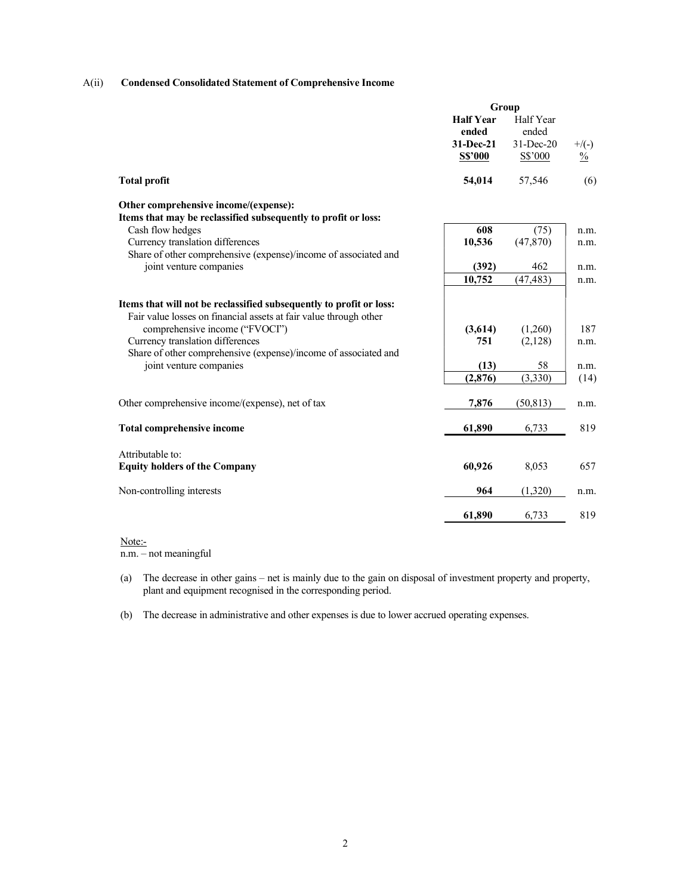## A(ii) Condensed Consolidated Statement of Comprehensive Income

|                                                                     | Group            |               |               |
|---------------------------------------------------------------------|------------------|---------------|---------------|
|                                                                     | <b>Half Year</b> | Half Year     |               |
|                                                                     | ended            | ended         |               |
|                                                                     | 31-Dec-21        | $31 - Dec-20$ | $+$ /(-)      |
|                                                                     | <b>S\$'000</b>   | $S\$ {5}'000  | $\frac{0}{0}$ |
| <b>Total profit</b>                                                 | 54,014           | 57,546        | (6)           |
| Other comprehensive income/(expense):                               |                  |               |               |
| Items that may be reclassified subsequently to profit or loss:      |                  |               |               |
| Cash flow hedges                                                    | 608              | (75)          | n.m.          |
| Currency translation differences                                    | 10,536           | (47, 870)     | n.m.          |
| Share of other comprehensive (expense)/income of associated and     |                  |               |               |
| joint venture companies                                             | (392)            | 462           | n.m.          |
|                                                                     | 10,752           | (47, 483)     | n.m.          |
| Items that will not be reclassified subsequently to profit or loss: |                  |               |               |
| Fair value losses on financial assets at fair value through other   |                  |               |               |
| comprehensive income ("FVOCI")                                      | (3,614)          | (1,260)       | 187           |
| Currency translation differences                                    | 751              | (2,128)       | n.m.          |
| Share of other comprehensive (expense)/income of associated and     |                  |               |               |
| joint venture companies                                             | (13)             | 58            | n.m.          |
|                                                                     | (2, 876)         | (3,330)       | (14)          |
| Other comprehensive income/(expense), net of tax                    | 7,876            | (50, 813)     | n.m.          |
| <b>Total comprehensive income</b>                                   | 61,890           | 6,733         | 819           |
| Attributable to:                                                    |                  |               |               |
| <b>Equity holders of the Company</b>                                | 60.926           | 8,053         | 657           |
|                                                                     |                  |               |               |
| Non-controlling interests                                           | 964              | (1,320)       | n.m.          |
|                                                                     | 61,890           | 6,733         | 819           |

## Note:-

n.m. – not meaningful

(a) The decrease in other gains – net is mainly due to the gain on disposal of investment property and property, plant and equipment recognised in the corresponding period.

(b) The decrease in administrative and other expenses is due to lower accrued operating expenses.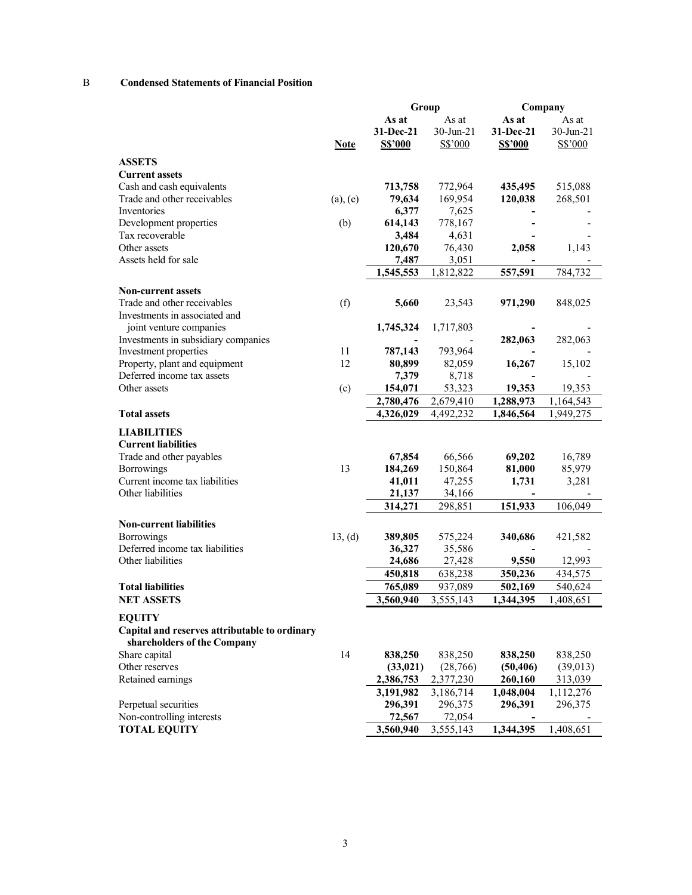## B Condensed Statements of Financial Position

|                                                                |               | Group             |                   |                | Company                                                |  |
|----------------------------------------------------------------|---------------|-------------------|-------------------|----------------|--------------------------------------------------------|--|
|                                                                |               | As at             | As at             | As at          | As at                                                  |  |
|                                                                |               | 31-Dec-21         | $30$ -Jun-21      | 31-Dec-21      | 30-Jun-21                                              |  |
|                                                                | <b>Note</b>   | S\$'000           | S\$'000           | <b>S\$'000</b> | S\$'000                                                |  |
| <b>ASSETS</b>                                                  |               |                   |                   |                |                                                        |  |
| <b>Current assets</b>                                          |               |                   |                   |                |                                                        |  |
| Cash and cash equivalents                                      |               | 713,758           | 772,964           | 435,495        | 515,088                                                |  |
| Trade and other receivables                                    | $(a)$ , $(e)$ | 79,634            | 169,954           | 120,038        | 268,501                                                |  |
| Inventories                                                    |               | 6,377             | 7,625             |                |                                                        |  |
| Development properties                                         | (b)           | 614,143           | 778,167           |                |                                                        |  |
| Tax recoverable                                                |               | 3,484             | 4,631             |                |                                                        |  |
| Other assets                                                   |               | 120,670           | 76,430            | 2,058          | 1,143                                                  |  |
| Assets held for sale                                           |               | 7,487             | 3,051             |                |                                                        |  |
|                                                                |               | 1,545,553         | 1,812,822         | 557,591        | 784,732                                                |  |
|                                                                |               |                   |                   |                |                                                        |  |
| <b>Non-current assets</b>                                      |               |                   |                   |                |                                                        |  |
| Trade and other receivables                                    | (f)           | 5,660             | 23,543            | 971,290        | 848,025                                                |  |
| Investments in associated and                                  |               |                   |                   |                |                                                        |  |
| joint venture companies                                        |               | 1,745,324         | 1,717,803         |                |                                                        |  |
| Investments in subsidiary companies                            |               |                   |                   | 282,063        | 282,063                                                |  |
| Investment properties                                          | 11            | 787,143           | 793,964           |                |                                                        |  |
| Property, plant and equipment                                  | 12            | 80,899            | 82,059            | 16,267         | 15,102                                                 |  |
| Deferred income tax assets                                     |               | 7,379             | 8,718             |                |                                                        |  |
| Other assets                                                   | (c)           | 154,071           | 53,323            | 19,353         | 19,353                                                 |  |
|                                                                |               | 2,780,476         | 2,679,410         | 1,288,973      | 1,164,543                                              |  |
| <b>Total assets</b>                                            |               | 4,326,029         | 4,492,232         | 1,846,564      | 1,949,275                                              |  |
| <b>LIABILITIES</b>                                             |               |                   |                   |                |                                                        |  |
| <b>Current liabilities</b>                                     |               |                   |                   |                |                                                        |  |
| Trade and other payables                                       |               | 67,854            | 66,566            | 69,202         | 16,789                                                 |  |
| Borrowings                                                     | 13            | 184,269           | 150,864           | 81,000         | 85,979                                                 |  |
| Current income tax liabilities                                 |               | 41,011            | 47,255            | 1,731          | 3,281                                                  |  |
| Other liabilities                                              |               | 21,137            | 34,166            |                |                                                        |  |
|                                                                |               | 314,271           | 298,851           | 151,933        | 106,049                                                |  |
|                                                                |               |                   |                   |                |                                                        |  |
| <b>Non-current liabilities</b>                                 |               |                   |                   |                |                                                        |  |
| Borrowings                                                     | 13, (d)       | 389,805           | 575,224           | 340,686        | 421,582                                                |  |
| Deferred income tax liabilities                                |               | 36,327            | 35,586            |                |                                                        |  |
| Other liabilities                                              |               | 24,686            | 27,428            | 9,550          | 12,993                                                 |  |
|                                                                |               | 450,818           | 638,238           | 350,236        | 434,575                                                |  |
| <b>Total liabilities</b>                                       |               | 765,089           | 937,089           | 502,169        | 540,624                                                |  |
| <b>NET ASSETS</b>                                              |               | 3,560,940         | 3,555,143         | 1,344,395      | 1,408,651                                              |  |
|                                                                |               |                   |                   |                |                                                        |  |
|                                                                |               |                   |                   |                |                                                        |  |
| <b>EQUITY</b><br>Capital and reserves attributable to ordinary |               |                   |                   |                |                                                        |  |
| shareholders of the Company                                    |               |                   |                   |                |                                                        |  |
| Share capital                                                  | 14            | 838,250           | 838,250           | 838,250        |                                                        |  |
| Other reserves                                                 |               | (33, 021)         | (28, 766)         | (50, 406)      |                                                        |  |
| Retained earnings                                              |               | 2,386,753         | 2,377,230         | 260,160        |                                                        |  |
|                                                                |               | 3,191,982         | 3,186,714         | 1,048,004      |                                                        |  |
| Perpetual securities<br>Non-controlling interests              |               | 296,391<br>72,567 | 296,375<br>72,054 | 296,391        | 838,250<br>(39,013)<br>313,039<br>1,112,276<br>296,375 |  |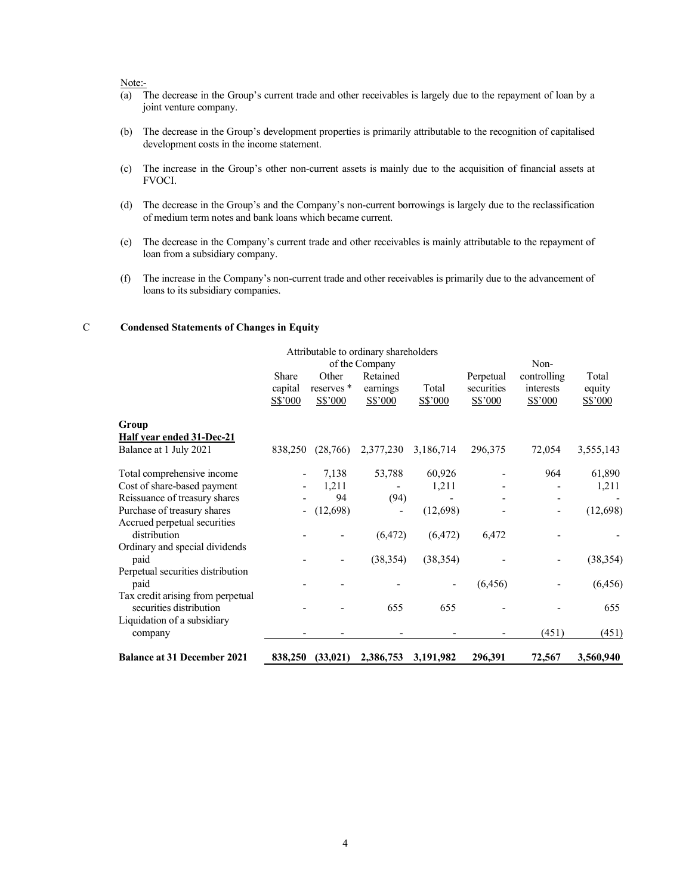#### Note:-

- (a) The decrease in the Group's current trade and other receivables is largely due to the repayment of loan by a joint venture company.
- (b) The decrease in the Group's development properties is primarily attributable to the recognition of capitalised development costs in the income statement.
- (c) The increase in the Group's other non-current assets is mainly due to the acquisition of financial assets at FVOCI.
- (d) The decrease in the Group's and the Company's non-current borrowings is largely due to the reclassification of medium term notes and bank loans which became current.
- (e) The decrease in the Company's current trade and other receivables is mainly attributable to the repayment of loan from a subsidiary company.
- (f) The increase in the Company's non-current trade and other receivables is primarily due to the advancement of loans to its subsidiary companies.

## C Condensed Statements of Changes in Equity

|                                                              |                             |                                           | Attributable to ordinary shareholders<br>of the Company |                  |                                    | Non-                                |                            |
|--------------------------------------------------------------|-----------------------------|-------------------------------------------|---------------------------------------------------------|------------------|------------------------------------|-------------------------------------|----------------------------|
|                                                              | Share<br>capital<br>S\$'000 | Other<br>reserves <sup>*</sup><br>S\$'000 | Retained<br>earnings<br>S\$'000                         | Total<br>S\$'000 | Perpetual<br>securities<br>S\$'000 | controlling<br>interests<br>S\$'000 | Total<br>equity<br>S\$'000 |
| Group                                                        |                             |                                           |                                                         |                  |                                    |                                     |                            |
| <b>Half year ended 31-Dec-21</b><br>Balance at 1 July 2021   | 838,250                     | (28,766)                                  | 2,377,230                                               | 3,186,714        | 296,375                            | 72,054                              | 3,555,143                  |
| Total comprehensive income                                   |                             | 7,138                                     | 53,788                                                  | 60,926           |                                    | 964                                 | 61,890                     |
| Cost of share-based payment                                  |                             | 1,211                                     |                                                         | 1,211            |                                    |                                     | 1,211                      |
| Reissuance of treasury shares                                |                             | 94                                        | (94)                                                    |                  |                                    |                                     |                            |
| Purchase of treasury shares<br>Accrued perpetual securities  |                             | (12,698)                                  |                                                         | (12,698)         |                                    |                                     | (12, 698)                  |
| distribution                                                 |                             |                                           | (6, 472)                                                | (6, 472)         | 6,472                              |                                     |                            |
| Ordinary and special dividends<br>paid                       |                             |                                           | (38, 354)                                               | (38, 354)        |                                    |                                     | (38, 354)                  |
| Perpetual securities distribution<br>paid                    |                             |                                           |                                                         |                  | (6, 456)                           |                                     | (6, 456)                   |
| Tax credit arising from perpetual<br>securities distribution |                             |                                           | 655                                                     | 655              |                                    |                                     | 655                        |
| Liquidation of a subsidiary<br>company                       |                             |                                           |                                                         |                  |                                    | (451)                               | (451)                      |
| <b>Balance at 31 December 2021</b>                           | 838,250                     | (33, 021)                                 | 2,386,753                                               | 3,191,982        | 296,391                            | 72,567                              | 3,560,940                  |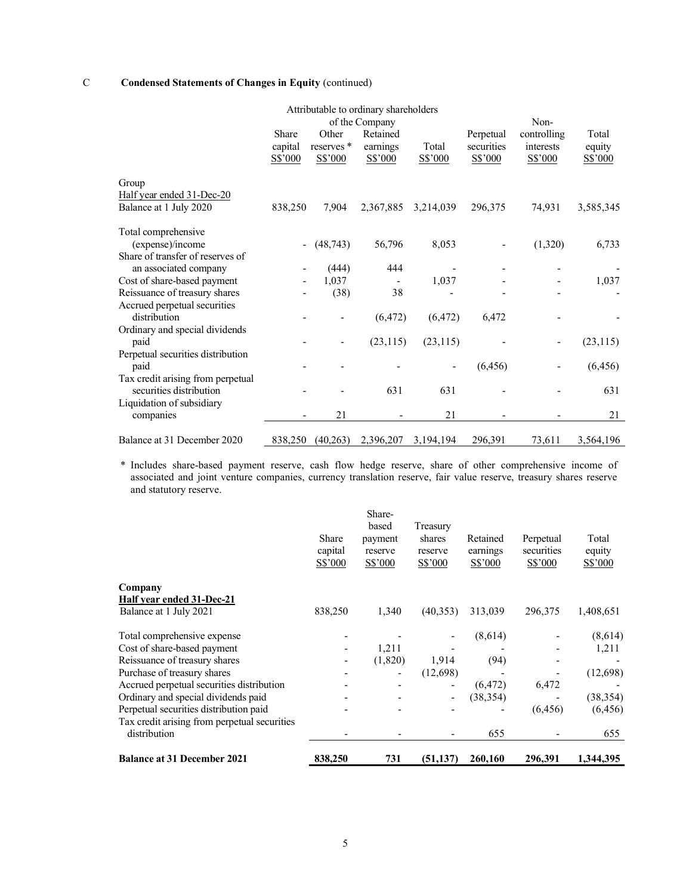# C Condensed Statements of Changes in Equity (continued)

| Attributable to ordinary shareholders |                          |                       |              |                              |            |              |           |  |  |
|---------------------------------------|--------------------------|-----------------------|--------------|------------------------------|------------|--------------|-----------|--|--|
|                                       |                          | of the Company        |              |                              |            | Non-         |           |  |  |
|                                       | Share                    | Other                 | Retained     |                              | Perpetual  | controlling  | Total     |  |  |
|                                       | capital                  | reserves <sup>*</sup> | earnings     | Total                        | securities | interests    | equity    |  |  |
|                                       | S\$'000                  | $S\$ {5'000}          | $S\$ {5'000} | $S\$ {5}'000                 | S\$'000    | $S\$ {5'000} | S\$'000   |  |  |
|                                       |                          |                       |              |                              |            |              |           |  |  |
| Group                                 |                          |                       |              |                              |            |              |           |  |  |
| Half year ended 31-Dec-20             |                          |                       |              |                              |            |              |           |  |  |
| Balance at 1 July 2020                | 838,250                  | 7,904                 | 2,367,885    | 3,214,039                    | 296,375    | 74,931       | 3,585,345 |  |  |
|                                       |                          |                       |              |                              |            |              |           |  |  |
| Total comprehensive                   |                          |                       |              |                              |            |              |           |  |  |
| (expense)/income                      | $\overline{\phantom{a}}$ | (48, 743)             | 56,796       | 8,053                        |            | (1,320)      | 6,733     |  |  |
| Share of transfer of reserves of      |                          |                       |              |                              |            |              |           |  |  |
| an associated company                 |                          | (444)                 | 444          |                              |            |              |           |  |  |
| Cost of share-based payment           |                          | 1,037                 |              | 1,037                        |            |              | 1,037     |  |  |
| Reissuance of treasury shares         |                          | (38)                  | 38           |                              |            |              |           |  |  |
| Accrued perpetual securities          |                          |                       |              |                              |            |              |           |  |  |
| distribution                          |                          |                       | (6, 472)     | (6, 472)                     | 6,472      |              |           |  |  |
| Ordinary and special dividends        |                          |                       |              |                              |            |              |           |  |  |
| paid                                  |                          |                       | (23, 115)    | (23, 115)                    |            |              | (23, 115) |  |  |
| Perpetual securities distribution     |                          |                       |              |                              |            |              |           |  |  |
| paid                                  |                          |                       |              | $\qquad \qquad \blacksquare$ | (6, 456)   |              | (6, 456)  |  |  |
| Tax credit arising from perpetual     |                          |                       |              |                              |            |              |           |  |  |
| securities distribution               |                          |                       | 631          | 631                          |            |              | 631       |  |  |
| Liquidation of subsidiary             |                          |                       |              |                              |            |              |           |  |  |
| companies                             |                          | 21                    |              | 21                           |            |              | 21        |  |  |
|                                       |                          |                       |              |                              |            |              |           |  |  |
| Balance at 31 December 2020           | 838,250                  | (40,263)              | 2,396,207    | 3,194,194                    | 296,391    | 73,611       | 3,564,196 |  |  |

\* Includes share-based payment reserve, cash flow hedge reserve, share of other comprehensive income of associated and joint venture companies, currency translation reserve, fair value reserve, treasury shares reserve and statutory reserve.

| <b>Balance at 31 December 2021</b>           | 838,250                     | 731                                              | (51, 137)                                | 260,160                         | 296,391                            | 1,344,395                  |
|----------------------------------------------|-----------------------------|--------------------------------------------------|------------------------------------------|---------------------------------|------------------------------------|----------------------------|
| distribution                                 |                             |                                                  |                                          | 655                             |                                    | 655                        |
| Tax credit arising from perpetual securities |                             |                                                  |                                          |                                 |                                    |                            |
| Perpetual securities distribution paid       |                             |                                                  |                                          |                                 | (6, 456)                           | (6, 456)                   |
| Ordinary and special dividends paid          |                             |                                                  | $\overline{\phantom{a}}$                 | (38, 354)                       |                                    | (38, 354)                  |
| Accrued perpetual securities distribution    |                             |                                                  |                                          | (6, 472)                        | 6,472                              |                            |
| Purchase of treasury shares                  |                             |                                                  | (12,698)                                 |                                 |                                    | (12,698)                   |
| Reissuance of treasury shares                |                             | (1,820)                                          | 1,914                                    | (94)                            |                                    |                            |
| Cost of share-based payment                  |                             | 1,211                                            |                                          |                                 |                                    | 1,211                      |
| Total comprehensive expense                  |                             |                                                  |                                          | (8,614)                         |                                    | (8,614)                    |
| Balance at 1 July 2021                       | 838,250                     | 1,340                                            | (40, 353)                                | 313,039                         | 296,375                            | 1,408,651                  |
| Company<br>Half year ended 31-Dec-21         |                             |                                                  |                                          |                                 |                                    |                            |
|                                              |                             |                                                  |                                          |                                 |                                    |                            |
|                                              | Share<br>capital<br>S\$'000 | Share-<br>based<br>payment<br>reserve<br>S\$'000 | Treasury<br>shares<br>reserve<br>S\$'000 | Retained<br>earnings<br>S\$'000 | Perpetual<br>securities<br>S\$'000 | Total<br>equity<br>S\$'000 |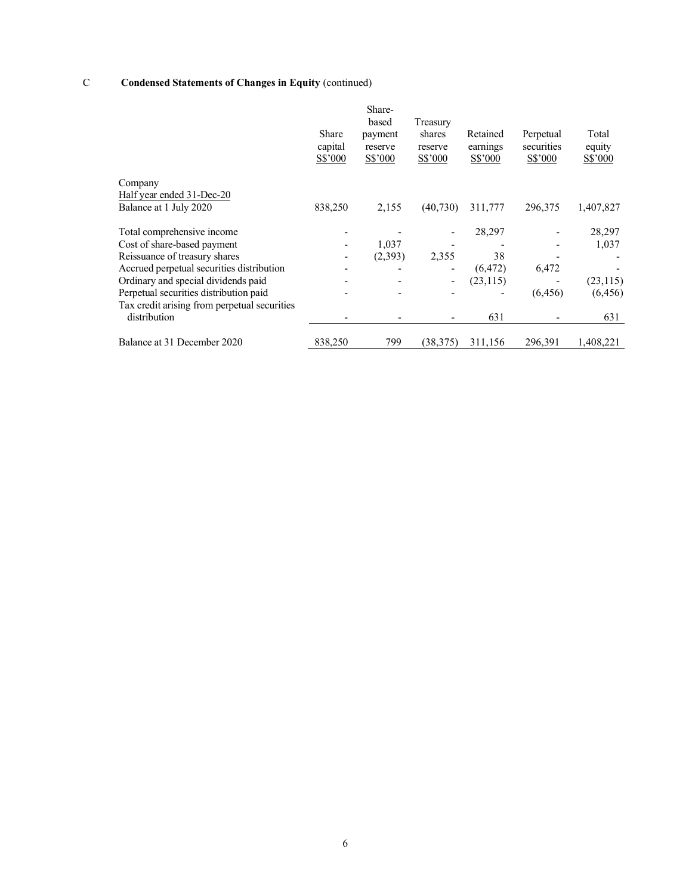# C Condensed Statements of Changes in Equity (continued)

|                                                              | Share<br>capital<br>S\$'000 | Share-<br>based<br>payment<br>reserve<br>S\$'000 | Treasury<br>shares<br>reserve<br>S\$'000 | Retained<br>earnings<br>S\$'000 | Perpetual<br>securities<br>S\$'000 | Total<br>equity<br>S\$'000 |
|--------------------------------------------------------------|-----------------------------|--------------------------------------------------|------------------------------------------|---------------------------------|------------------------------------|----------------------------|
| Company                                                      |                             |                                                  |                                          |                                 |                                    |                            |
| Half year ended 31-Dec-20                                    |                             |                                                  |                                          |                                 |                                    |                            |
| Balance at 1 July 2020                                       | 838,250                     | 2,155                                            | (40,730)                                 | 311,777                         | 296,375                            | 1,407,827                  |
| Total comprehensive income                                   |                             |                                                  |                                          | 28,297                          |                                    | 28,297                     |
| Cost of share-based payment                                  |                             | 1,037                                            |                                          |                                 |                                    | 1,037                      |
| Reissuance of treasury shares                                |                             | (2,393)                                          | 2,355                                    | 38                              |                                    |                            |
| Accrued perpetual securities distribution                    |                             |                                                  |                                          | (6, 472)                        | 6,472                              |                            |
| Ordinary and special dividends paid                          |                             |                                                  |                                          | (23, 115)                       |                                    | (23, 115)                  |
| Perpetual securities distribution paid                       |                             |                                                  |                                          |                                 | (6, 456)                           | (6, 456)                   |
| Tax credit arising from perpetual securities<br>distribution |                             |                                                  |                                          | 631                             |                                    | 631                        |
| Balance at 31 December 2020                                  | 838,250                     | 799                                              | (38,375)                                 | 311,156                         | 296,391                            | 1,408,221                  |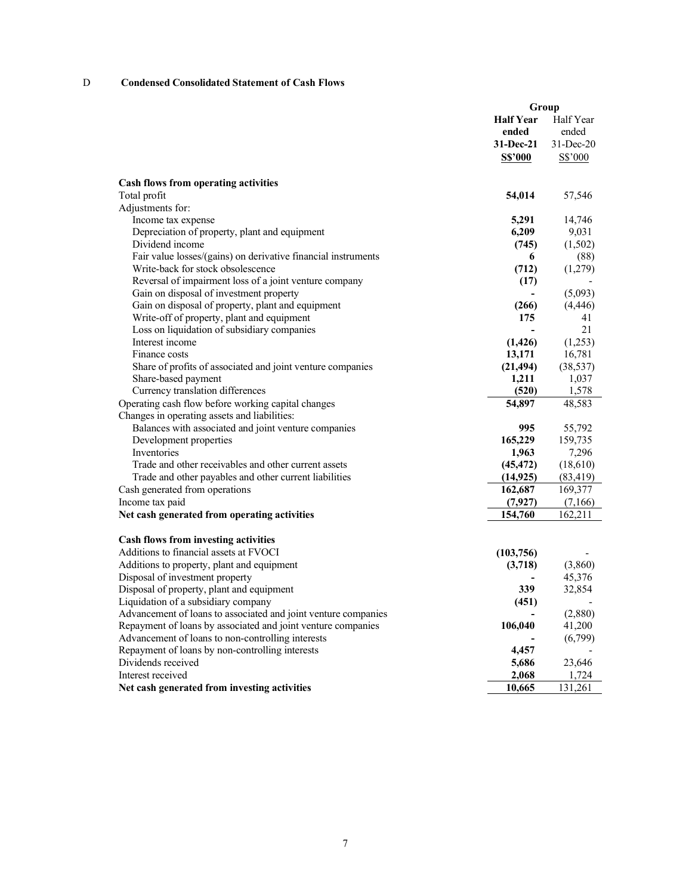## D Condensed Consolidated Statement of Cash Flows

|                                                                |                  | Group        |
|----------------------------------------------------------------|------------------|--------------|
|                                                                | <b>Half Year</b> | Half Year    |
|                                                                | ended            | ended        |
|                                                                | 31-Dec-21        | $31$ -Dec-20 |
|                                                                | <b>S\$'000</b>   | S\$'000      |
|                                                                |                  |              |
| <b>Cash flows from operating activities</b>                    |                  |              |
| Total profit                                                   | 54,014           | 57,546       |
| Adjustments for:                                               |                  |              |
| Income tax expense                                             | 5,291            | 14,746       |
| Depreciation of property, plant and equipment                  | 6,209            | 9,031        |
| Dividend income                                                | (745)            | (1,502)      |
| Fair value losses/(gains) on derivative financial instruments  | 6                | (88)         |
| Write-back for stock obsolescence                              | (712)            | (1,279)      |
| Reversal of impairment loss of a joint venture company         | (17)             |              |
| Gain on disposal of investment property                        |                  | (5,093)      |
| Gain on disposal of property, plant and equipment              | (266)            | (4, 446)     |
| Write-off of property, plant and equipment                     | 175              | 41           |
| Loss on liquidation of subsidiary companies                    |                  | 21           |
| Interest income                                                | (1, 426)         | (1,253)      |
| Finance costs                                                  | 13,171           | 16,781       |
| Share of profits of associated and joint venture companies     | (21, 494)        | (38, 537)    |
| Share-based payment                                            | 1,211            | 1,037        |
| Currency translation differences                               | (520)            | 1,578        |
| Operating cash flow before working capital changes             | 54,897           | 48,583       |
| Changes in operating assets and liabilities:                   |                  |              |
| Balances with associated and joint venture companies           | 995              | 55,792       |
| Development properties                                         | 165,229          | 159,735      |
| Inventories                                                    | 1,963            | 7,296        |
| Trade and other receivables and other current assets           | (45, 472)        | (18,610)     |
| Trade and other payables and other current liabilities         | (14, 925)        | (83, 419)    |
| Cash generated from operations                                 | 162,687          | 169,377      |
| Income tax paid                                                | (7,927)          | (7,166)      |
| Net cash generated from operating activities                   | 154,760          | 162,211      |
|                                                                |                  |              |
| <b>Cash flows from investing activities</b>                    |                  |              |
| Additions to financial assets at FVOCI                         | (103, 756)       |              |
| Additions to property, plant and equipment                     | (3,718)          | (3,860)      |
| Disposal of investment property                                |                  | 45,376       |
| Disposal of property, plant and equipment                      | 339              | 32,854       |
| Liquidation of a subsidiary company                            | (451)            |              |
| Advancement of loans to associated and joint venture companies |                  | (2,880)      |
| Repayment of loans by associated and joint venture companies   | 106,040          | 41,200       |
| Advancement of loans to non-controlling interests              |                  | (6,799)      |
| Repayment of loans by non-controlling interests                | 4,457            |              |
| Dividends received                                             | 5,686            | 23,646       |
| Interest received                                              | 2,068            | 1,724        |
| Net cash generated from investing activities                   | 10,665           | 131,261      |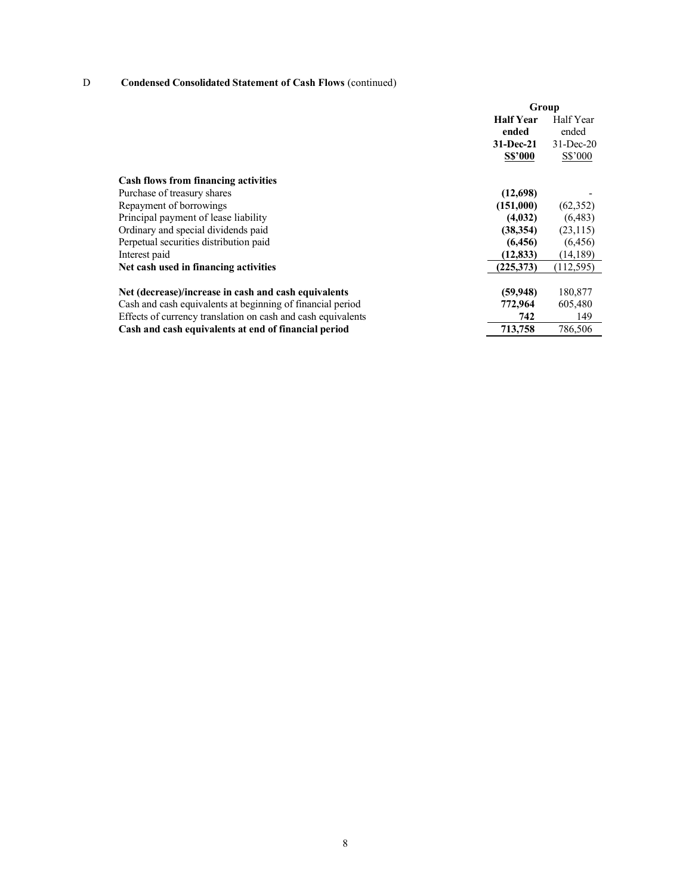# D Condensed Consolidated Statement of Cash Flows (continued)

|                                                              | Group            |              |
|--------------------------------------------------------------|------------------|--------------|
|                                                              | <b>Half Year</b> | Half Year    |
|                                                              | ended            | ended        |
|                                                              | 31-Dec-21        | $31$ -Dec-20 |
|                                                              | <b>S\$'000</b>   | $S\$ {5}'000 |
| <b>Cash flows from financing activities</b>                  |                  |              |
| Purchase of treasury shares                                  | (12,698)         |              |
| Repayment of borrowings                                      | (151,000)        | (62, 352)    |
| Principal payment of lease liability                         | (4,032)          | (6, 483)     |
| Ordinary and special dividends paid                          | (38, 354)        | (23, 115)    |
| Perpetual securities distribution paid                       | (6, 456)         | (6, 456)     |
| Interest paid                                                | (12, 833)        | (14,189)     |
| Net cash used in financing activities                        | (225,373)        | (112, 595)   |
| Net (decrease)/increase in cash and cash equivalents         | (59, 948)        | 180,877      |
| Cash and cash equivalents at beginning of financial period   | 772,964          | 605,480      |
| Effects of currency translation on cash and cash equivalents | 742              | 149          |
| Cash and cash equivalents at end of financial period         | 713,758          | 786,506      |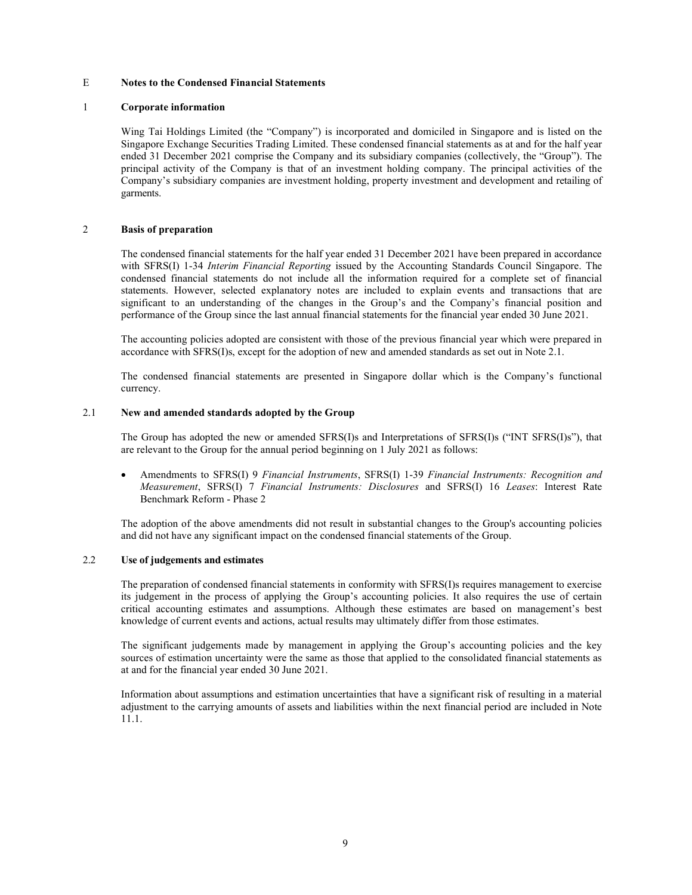### E Notes to the Condensed Financial Statements

#### 1 Corporate information

Wing Tai Holdings Limited (the "Company") is incorporated and domiciled in Singapore and is listed on the Singapore Exchange Securities Trading Limited. These condensed financial statements as at and for the half year ended 31 December 2021 comprise the Company and its subsidiary companies (collectively, the "Group"). The principal activity of the Company is that of an investment holding company. The principal activities of the Company's subsidiary companies are investment holding, property investment and development and retailing of garments.

### 2 Basis of preparation

The condensed financial statements for the half year ended 31 December 2021 have been prepared in accordance with SFRS(I) 1-34 *Interim Financial Reporting* issued by the Accounting Standards Council Singapore. The condensed financial statements do not include all the information required for a complete set of financial statements. However, selected explanatory notes are included to explain events and transactions that are significant to an understanding of the changes in the Group's and the Company's financial position and performance of the Group since the last annual financial statements for the financial year ended 30 June 2021.

The accounting policies adopted are consistent with those of the previous financial year which were prepared in accordance with SFRS(I)s, except for the adoption of new and amended standards as set out in Note 2.1.

The condensed financial statements are presented in Singapore dollar which is the Company's functional currency.

## 2.1 New and amended standards adopted by the Group

The Group has adopted the new or amended SFRS(I)s and Interpretations of SFRS(I)s ("INT SFRS(I)s"), that are relevant to the Group for the annual period beginning on 1 July 2021 as follows:

 Amendments to SFRS(I) 9 Financial Instruments, SFRS(I) 1-39 Financial Instruments: Recognition and Measurement, SFRS(I) 7 Financial Instruments: Disclosures and SFRS(I) 16 Leases: Interest Rate Benchmark Reform - Phase 2

The adoption of the above amendments did not result in substantial changes to the Group's accounting policies and did not have any significant impact on the condensed financial statements of the Group.

## 2.2 Use of judgements and estimates

The preparation of condensed financial statements in conformity with SFRS(I)s requires management to exercise its judgement in the process of applying the Group's accounting policies. It also requires the use of certain critical accounting estimates and assumptions. Although these estimates are based on management's best knowledge of current events and actions, actual results may ultimately differ from those estimates.

The significant judgements made by management in applying the Group's accounting policies and the key sources of estimation uncertainty were the same as those that applied to the consolidated financial statements as at and for the financial year ended 30 June 2021.

Information about assumptions and estimation uncertainties that have a significant risk of resulting in a material adjustment to the carrying amounts of assets and liabilities within the next financial period are included in Note 11.1.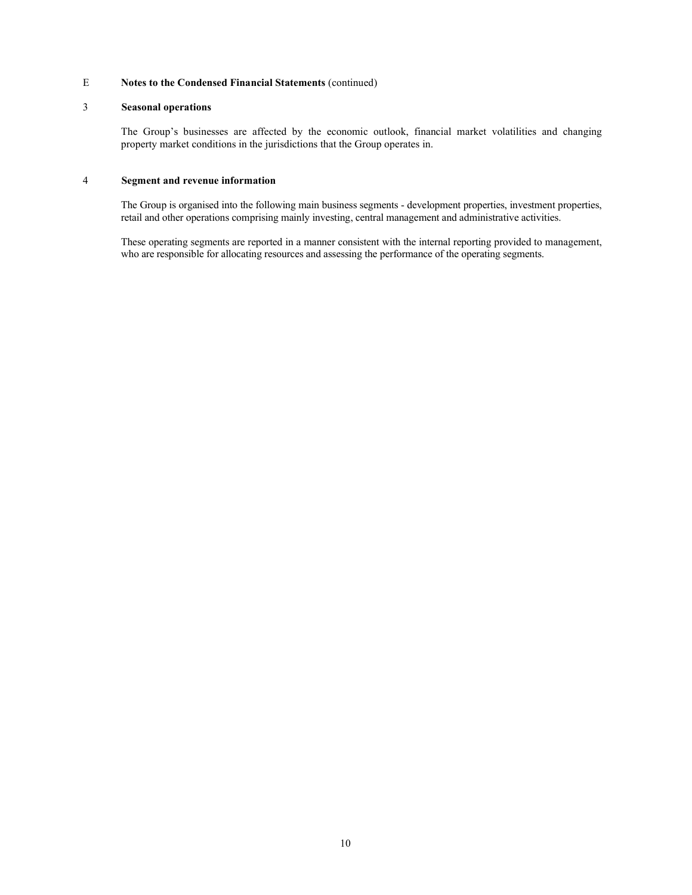## 3 Seasonal operations

The Group's businesses are affected by the economic outlook, financial market volatilities and changing property market conditions in the jurisdictions that the Group operates in.

## 4 Segment and revenue information

The Group is organised into the following main business segments - development properties, investment properties, retail and other operations comprising mainly investing, central management and administrative activities.

These operating segments are reported in a manner consistent with the internal reporting provided to management, who are responsible for allocating resources and assessing the performance of the operating segments.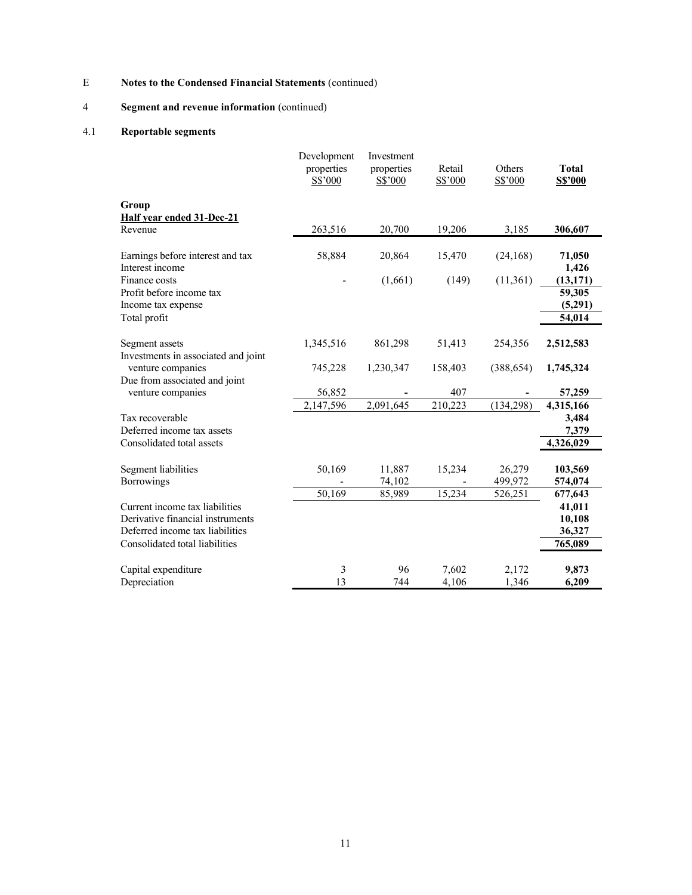# 4 Segment and revenue information (continued)

# 4.1 Reportable segments

|                                                       | Development<br>properties<br>S\$'000 | Investment<br>properties<br>S\$'000 | Retail<br>S\$'000 | Others<br>S\$'000 | <b>Total</b><br><b>S\$'000</b> |
|-------------------------------------------------------|--------------------------------------|-------------------------------------|-------------------|-------------------|--------------------------------|
| Group<br><b>Half year ended 31-Dec-21</b>             |                                      |                                     |                   |                   |                                |
| Revenue                                               | 263,516                              | 20,700                              | 19,206            | 3,185             | 306,607                        |
| Earnings before interest and tax<br>Interest income   | 58,884                               | 20,864                              | 15,470            | (24,168)          | 71,050<br>1,426                |
| Finance costs<br>Profit before income tax             |                                      | (1,661)                             | (149)             | (11,361)          | (13, 171)<br>59,305            |
| Income tax expense                                    |                                      |                                     |                   |                   | (5,291)                        |
| Total profit                                          |                                      |                                     |                   |                   | 54,014                         |
| Segment assets<br>Investments in associated and joint | 1,345,516                            | 861,298                             | 51,413            | 254,356           | 2,512,583                      |
| venture companies<br>Due from associated and joint    | 745,228                              | 1,230,347                           | 158,403           | (388, 654)        | 1,745,324                      |
| venture companies                                     | 56,852                               |                                     | 407               |                   | 57,259                         |
|                                                       | 2,147,596                            | 2,091,645                           | 210,223           | (134, 298)        | 4,315,166                      |
| Tax recoverable<br>Deferred income tax assets         |                                      |                                     |                   |                   | 3,484<br>7,379                 |
| Consolidated total assets                             |                                      |                                     |                   |                   | 4,326,029                      |
| Segment liabilities<br>Borrowings                     | 50,169                               | 11,887<br>74,102                    | 15,234            | 26,279<br>499,972 | 103,569<br>574,074             |
|                                                       | 50,169                               | 85,989                              | 15,234            | 526,251           | 677,643                        |
| Current income tax liabilities                        |                                      |                                     |                   |                   | 41,011                         |
| Derivative financial instruments                      |                                      |                                     |                   |                   | 10,108                         |
| Deferred income tax liabilities                       |                                      |                                     |                   |                   | 36,327                         |
| Consolidated total liabilities                        |                                      |                                     |                   |                   | 765,089                        |
| Capital expenditure<br>Depreciation                   | 3<br>13                              | 96<br>744                           | 7,602<br>4,106    | 2,172<br>1,346    | 9,873<br>6,209                 |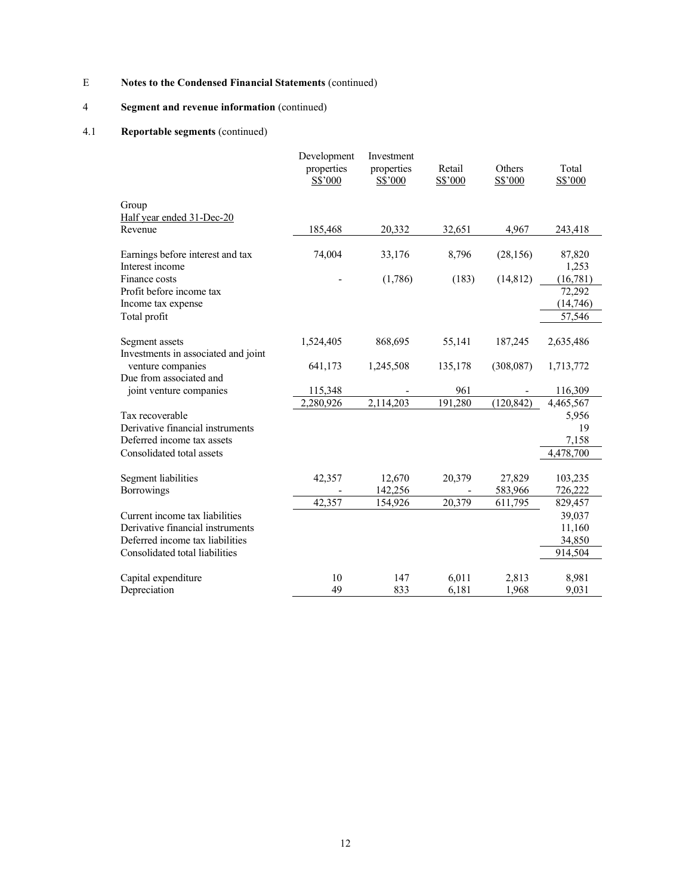# 4 Segment and revenue information (continued)

# 4.1 Reportable segments (continued)

|                                                                | Development<br>properties<br>S\$'000 | Investment<br>properties<br>S\$'000 | Retail<br>S\$'000 | Others<br>S\$'000 | Total<br>S\$'000   |
|----------------------------------------------------------------|--------------------------------------|-------------------------------------|-------------------|-------------------|--------------------|
| Group<br>Half year ended 31-Dec-20                             |                                      |                                     |                   |                   |                    |
| Revenue                                                        | 185,468                              | 20,332                              | 32,651            | 4,967             | 243,418            |
| Earnings before interest and tax<br>Interest income            | 74,004                               | 33,176                              | 8,796             | (28, 156)         | 87,820<br>1,253    |
| Finance costs                                                  |                                      | (1,786)                             | (183)             | (14, 812)         | (16,781)           |
| Profit before income tax<br>Income tax expense                 |                                      |                                     |                   |                   | 72,292<br>(14,746) |
| Total profit                                                   |                                      |                                     |                   |                   | 57,546             |
| Segment assets<br>Investments in associated and joint          | 1,524,405                            | 868,695                             | 55,141            | 187,245           | 2,635,486          |
| venture companies                                              | 641,173                              | 1,245,508                           | 135,178           | (308,087)         | 1,713,772          |
| Due from associated and                                        |                                      |                                     |                   |                   |                    |
| joint venture companies                                        | 115,348                              |                                     | 961               |                   | 116,309            |
|                                                                | 2,280,926                            | 2,114,203                           | 191,280           | (120, 842)        | 4,465,567          |
| Tax recoverable                                                |                                      |                                     |                   |                   | 5,956              |
| Derivative financial instruments<br>Deferred income tax assets |                                      |                                     |                   |                   | 19<br>7,158        |
| Consolidated total assets                                      |                                      |                                     |                   |                   | 4,478,700          |
|                                                                |                                      |                                     |                   |                   |                    |
| Segment liabilities                                            | 42,357                               | 12,670                              | 20,379            | 27,829            | 103,235            |
| <b>Borrowings</b>                                              |                                      | 142,256                             |                   | 583,966           | 726,222            |
|                                                                | 42,357                               | 154,926                             | 20,379            | 611,795           | 829,457            |
| Current income tax liabilities                                 |                                      |                                     |                   |                   | 39,037             |
| Derivative financial instruments                               |                                      |                                     |                   |                   | 11,160             |
| Deferred income tax liabilities                                |                                      |                                     |                   |                   | 34,850             |
| Consolidated total liabilities                                 |                                      |                                     |                   |                   | 914,504            |
|                                                                |                                      |                                     |                   |                   |                    |
| Capital expenditure<br>Depreciation                            | 10<br>49                             | 147<br>833                          | 6,011<br>6,181    | 2,813<br>1,968    | 8,981<br>9,031     |
|                                                                |                                      |                                     |                   |                   |                    |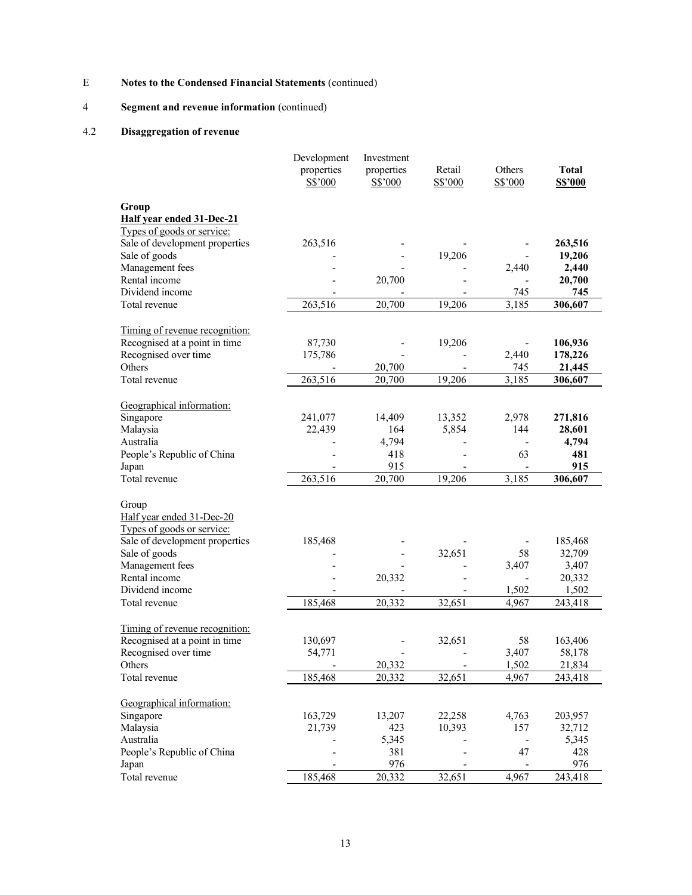# 4 Segment and revenue information (continued)

# 4.2 Disaggregation of revenue

|                                                                 | Development | Investment |         |                              |                 |
|-----------------------------------------------------------------|-------------|------------|---------|------------------------------|-----------------|
|                                                                 | properties  | properties | Retail  | Others                       | <b>Total</b>    |
|                                                                 | S\$'000     | S\$'000    | S\$'000 | S\$'000                      | <b>S\$'000</b>  |
| Group                                                           |             |            |         |                              |                 |
| Half year ended 31-Dec-21                                       |             |            |         |                              |                 |
| Types of goods or service:                                      |             |            |         |                              |                 |
| Sale of development properties                                  | 263,516     |            |         |                              | 263,516         |
| Sale of goods                                                   |             |            | 19,206  |                              | 19,206          |
|                                                                 |             |            |         |                              |                 |
| Management fees<br>Rental income                                |             |            |         | 2,440                        | 2,440<br>20,700 |
|                                                                 |             | 20,700     |         |                              |                 |
| Dividend income                                                 |             |            |         | 745                          | 745             |
| Total revenue                                                   | 263,516     | 20,700     | 19,206  | 3,185                        | 306,607         |
| Timing of revenue recognition:                                  |             |            |         |                              |                 |
| Recognised at a point in time                                   | 87,730      |            | 19,206  |                              | 106,936         |
| Recognised over time                                            | 175,786     |            |         | 2,440                        | 178,226         |
| Others                                                          |             | 20,700     |         | 745                          | 21,445          |
| Total revenue                                                   | 263,516     | 20,700     | 19,206  | 3,185                        | 306,607         |
|                                                                 |             |            |         |                              |                 |
| Geographical information:                                       |             |            |         |                              |                 |
| Singapore                                                       | 241,077     | 14,409     | 13,352  | 2,978                        | 271,816         |
| Malaysia                                                        | 22,439      | 164        | 5,854   | 144                          | 28,601          |
| Australia                                                       |             | 4,794      |         | $\overline{\phantom{a}}$     | 4,794           |
| People's Republic of China                                      |             | 418        |         | 63                           | 481             |
| Japan                                                           |             | 915        |         |                              | 915             |
| Total revenue                                                   | 263,516     | 20,700     | 19,206  | 3,185                        | 306,607         |
|                                                                 |             |            |         |                              |                 |
| Group                                                           |             |            |         |                              |                 |
| Half year ended 31-Dec-20                                       |             |            |         |                              |                 |
| Types of goods or service:                                      |             |            |         |                              |                 |
| Sale of development properties                                  | 185,468     |            |         |                              | 185,468         |
| Sale of goods                                                   |             |            | 32,651  | 58                           | 32,709          |
| Management fees                                                 |             |            |         | 3,407                        | 3,407           |
| Rental income                                                   |             | 20,332     |         |                              | 20,332          |
| Dividend income                                                 |             |            |         | 1,502                        | 1,502           |
| Total revenue                                                   | 185,468     | 20,332     |         |                              |                 |
|                                                                 |             |            | 32,651  | 4,967                        | 243,418         |
|                                                                 |             |            |         |                              |                 |
| Timing of revenue recognition:<br>Recognised at a point in time |             |            |         | 58                           |                 |
| Recognised over time                                            | 130,697     | Ē,         | 32,651  |                              | 163,406         |
|                                                                 | 54,771      |            |         | 3,407                        | 58,178          |
| Others                                                          |             | 20,332     |         | 1,502                        | 21,834          |
| Total revenue                                                   | 185,468     | 20,332     | 32,651  | 4,967                        | 243,418         |
| Geographical information:                                       |             |            |         |                              |                 |
| Singapore                                                       | 163,729     | 13,207     | 22,258  | 4,763                        | 203,957         |
| Malaysia                                                        | 21,739      | 423        | 10,393  | 157                          | 32,712          |
| Australia                                                       |             | 5,345      |         | $\qquad \qquad \blacksquare$ | 5,345           |
| People's Republic of China                                      |             | 381        |         | 47                           | 428             |
| Japan                                                           |             | 976        |         |                              | 976             |
| Total revenue                                                   | 185,468     | 20,332     | 32,651  | 4,967                        | 243,418         |
|                                                                 |             |            |         |                              |                 |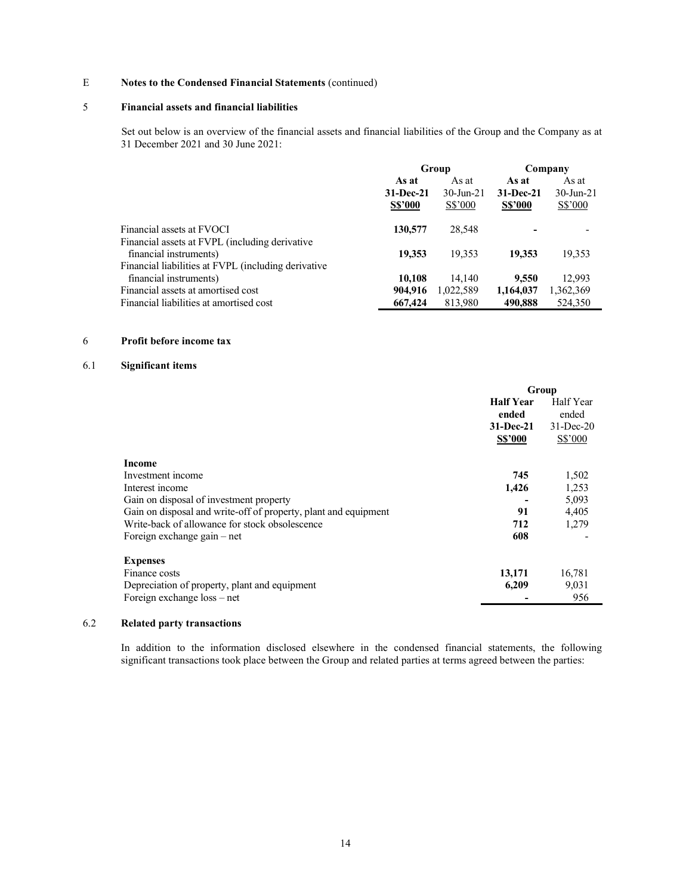## 5 Financial assets and financial liabilities

 Set out below is an overview of the financial assets and financial liabilities of the Group and the Company as at 31 December 2021 and 30 June 2021:

|                                                     | Group          |              | Company        |              |
|-----------------------------------------------------|----------------|--------------|----------------|--------------|
|                                                     | As at          | As at        | As at          | As at        |
|                                                     | 31-Dec-21      | $30$ -Jun-21 | $31-Dec-21$    | $30$ -Jun-21 |
|                                                     | <b>S\$'000</b> | S\$'000      | <b>S\$'000</b> | S\$'000      |
| Financial assets at FVOCI                           | 130,577        | 28,548       |                |              |
| Financial assets at FVPL (including derivative      |                |              |                |              |
| financial instruments)                              | 19,353         | 19.353       | 19,353         | 19,353       |
| Financial liabilities at FVPL (including derivative |                |              |                |              |
| financial instruments)                              | 10.108         | 14.140       | 9,550          | 12.993       |
| Financial assets at amortised cost                  | 904,916        | 1,022,589    | 1,164,037      | 1,362,369    |
| Financial liabilities at amortised cost             | 667,424        | 813,980      | 490.888        | 524,350      |

### 6 Profit before income tax

## 6.1 Significant items

|                                                                 | Group            |              |
|-----------------------------------------------------------------|------------------|--------------|
|                                                                 | <b>Half Year</b> | Half Year    |
|                                                                 | ended            | ended        |
|                                                                 | 31-Dec-21        | $31$ -Dec-20 |
|                                                                 | <b>S\$'000</b>   | $S\$ {5}'000 |
| Income                                                          |                  |              |
| Investment income                                               | 745              | 1,502        |
| Interest income                                                 | 1,426            | 1,253        |
| Gain on disposal of investment property                         |                  | 5,093        |
| Gain on disposal and write-off of property, plant and equipment | 91               | 4,405        |
| Write-back of allowance for stock obsolescence                  | 712              | 1,279        |
| Foreign exchange $gain - net$                                   | 608              |              |
| <b>Expenses</b>                                                 |                  |              |
| Finance costs                                                   | 13,171           | 16,781       |
| Depreciation of property, plant and equipment                   | 6,209            | 9,031        |
| Foreign exchange loss – net                                     |                  | 956          |

## 6.2 Related party transactions

In addition to the information disclosed elsewhere in the condensed financial statements, the following significant transactions took place between the Group and related parties at terms agreed between the parties: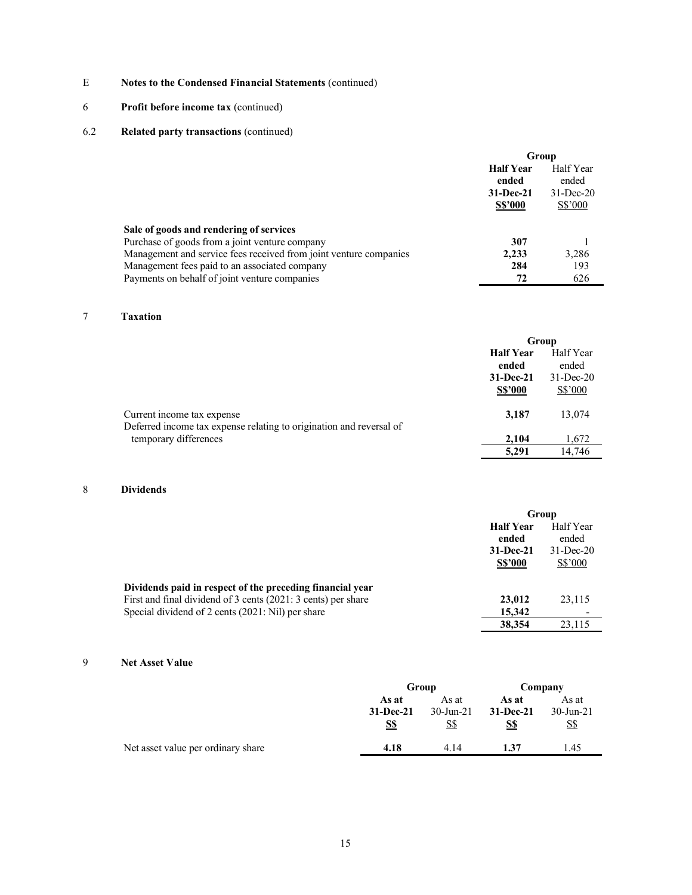# 6 Profit before income tax (continued)

## 6.2 Related party transactions (continued)

|                                                                   | Group                     |                    |  |
|-------------------------------------------------------------------|---------------------------|--------------------|--|
|                                                                   | <b>Half Year</b><br>ended | Half Year<br>ended |  |
|                                                                   | $31 - Dec-21$             | $31$ -Dec-20       |  |
|                                                                   | <b>S\$'000</b>            | S\$'000            |  |
| Sale of goods and rendering of services                           |                           |                    |  |
| Purchase of goods from a joint venture company                    | 307                       |                    |  |
| Management and service fees received from joint venture companies | 2.233                     | 3,286              |  |
| Management fees paid to an associated company                     | 284                       | 193                |  |
| Payments on behalf of joint venture companies                     | 72                        | 626                |  |

# 7 Taxation

|                                                                                                   | Group                       |                         |
|---------------------------------------------------------------------------------------------------|-----------------------------|-------------------------|
|                                                                                                   | <b>Half Year</b><br>ended   | Half Year<br>ended      |
|                                                                                                   | 31-Dec-21<br><b>S\$'000</b> | $31$ -Dec-20<br>S\$'000 |
| Current income tax expense<br>Deferred income tax expense relating to origination and reversal of | 3,187                       | 13,074                  |
| temporary differences                                                                             | 2.104                       | 1,672                   |
|                                                                                                   | 5,291                       | 14.746                  |

# 8 Dividends

|                                                               | Group                                                    |                                               |
|---------------------------------------------------------------|----------------------------------------------------------|-----------------------------------------------|
|                                                               | <b>Half Year</b><br>ended<br>31-Dec-21<br><b>S\$'000</b> | Half Year<br>ended<br>$31$ -Dec-20<br>S\$'000 |
| Dividends paid in respect of the preceding financial year     |                                                          |                                               |
| First and final dividend of 3 cents (2021: 3 cents) per share | 23,012                                                   | 23,115                                        |
| Special dividend of 2 cents (2021: Nil) per share             | 15,342                                                   |                                               |
|                                                               | 38,354                                                   | 23.115                                        |

## 9 Net Asset Value

|                                    | Group                         |                              | Company                     |                              |
|------------------------------------|-------------------------------|------------------------------|-----------------------------|------------------------------|
|                                    | As at<br>$31 - Dec-21$<br>S\$ | As at<br>$30$ -Jun-21<br>S\$ | As at<br>$31-Dec-21$<br>S\$ | As at<br>$30$ -Jun-21<br>S\$ |
| Net asset value per ordinary share | 4.18                          | 4.14                         | 1.37                        | 1.45                         |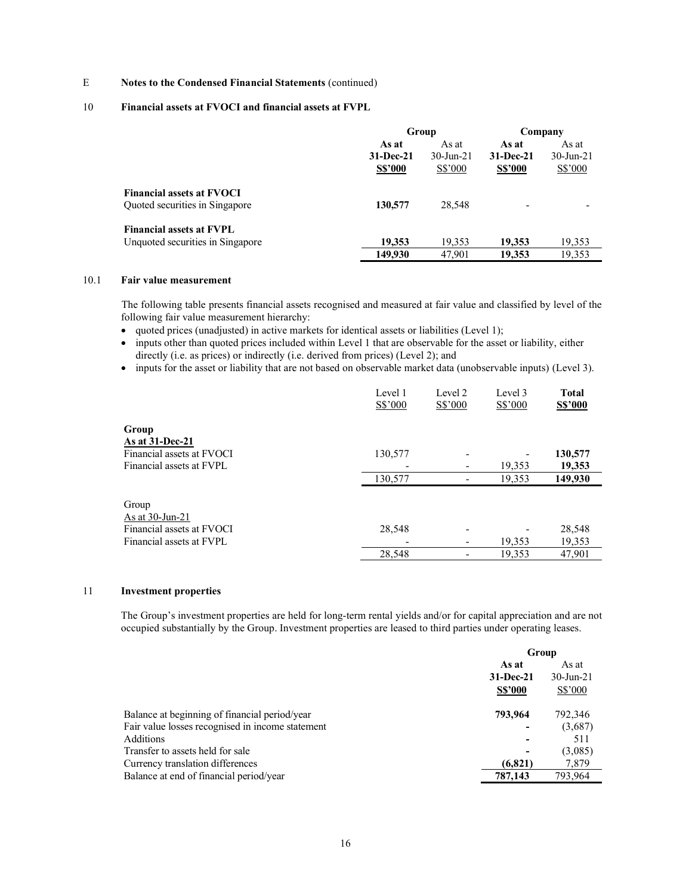- E Notes to the Condensed Financial Statements (continued)
- 10 Financial assets at FVOCI and financial assets at FVPL

|                                                                     | Group                                    |                                  | Company                              |                                  |
|---------------------------------------------------------------------|------------------------------------------|----------------------------------|--------------------------------------|----------------------------------|
|                                                                     | As at<br>$31 - Dec-21$<br><b>S\$'000</b> | As at<br>$30$ -Jun-21<br>S\$'000 | As at<br>31-Dec-21<br><b>S\$'000</b> | As at<br>$30$ -Jun-21<br>S\$'000 |
| <b>Financial assets at FVOCI</b><br>Quoted securities in Singapore  | 130,577                                  | 28,548                           | $\overline{\phantom{0}}$             |                                  |
| <b>Financial assets at FVPL</b><br>Unquoted securities in Singapore | 19,353                                   | 19,353                           | 19.353                               | 19,353                           |
|                                                                     | 149,930                                  | 47.901                           | 19.353                               | 19,353                           |

### 10.1 Fair value measurement

 The following table presents financial assets recognised and measured at fair value and classified by level of the following fair value measurement hierarchy:

- quoted prices (unadjusted) in active markets for identical assets or liabilities (Level 1);
- inputs other than quoted prices included within Level 1 that are observable for the asset or liability, either directly (i.e. as prices) or indirectly (i.e. derived from prices) (Level 2); and
- inputs for the asset or liability that are not based on observable market data (unobservable inputs) (Level 3).

|                                              | Level 1<br>S\$'000       | Level 2<br>$S\$ {S'000} | Level 3<br>$S\$ {5'000} | <b>Total</b><br><b>S\$'000</b> |
|----------------------------------------------|--------------------------|-------------------------|-------------------------|--------------------------------|
| Group                                        |                          |                         |                         |                                |
| As at 31-Dec-21<br>Financial assets at FVOCI | 130,577                  |                         |                         | 130,577                        |
| Financial assets at FVPL                     |                          |                         | 19,353                  | 19,353                         |
|                                              | 130,577                  |                         | 19,353                  | 149,930                        |
| Group<br>As at $30$ -Jun-21                  |                          |                         |                         |                                |
| Financial assets at FVOCI                    | 28,548                   |                         |                         | 28,548                         |
| Financial assets at FVPL                     | $\overline{\phantom{a}}$ |                         | 19,353                  | 19,353                         |
|                                              | 28,548                   |                         | 19,353                  | 47,901                         |

## 11 Investment properties

The Group's investment properties are held for long-term rental yields and/or for capital appreciation and are not occupied substantially by the Group. Investment properties are leased to third parties under operating leases.

|                                                  | Group          |              |  |
|--------------------------------------------------|----------------|--------------|--|
|                                                  | As at<br>As at |              |  |
|                                                  | 31-Dec-21      | $30$ -Jun-21 |  |
|                                                  | <b>S\$'000</b> | S\$'000      |  |
| Balance at beginning of financial period/year    | 793,964        | 792,346      |  |
| Fair value losses recognised in income statement |                | (3,687)      |  |
| Additions                                        |                | 511          |  |
| Transfer to assets held for sale                 |                | (3,085)      |  |
| Currency translation differences                 | (6,821)        | 7,879        |  |
| Balance at end of financial period/year          | 787,143        | 793,964      |  |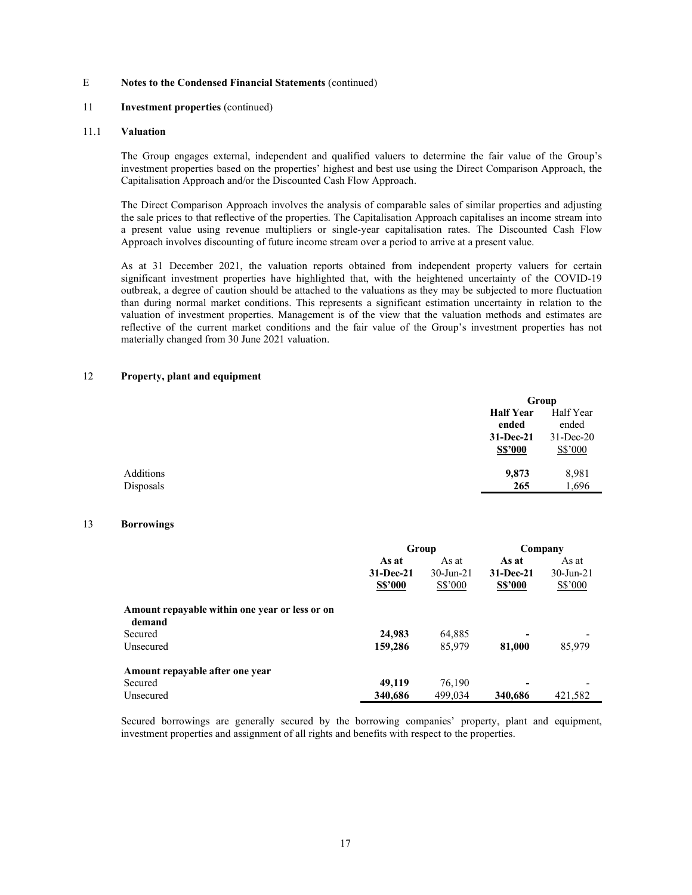### 11 Investment properties (continued)

#### 11.1 Valuation

The Group engages external, independent and qualified valuers to determine the fair value of the Group's investment properties based on the properties' highest and best use using the Direct Comparison Approach, the Capitalisation Approach and/or the Discounted Cash Flow Approach.

The Direct Comparison Approach involves the analysis of comparable sales of similar properties and adjusting the sale prices to that reflective of the properties. The Capitalisation Approach capitalises an income stream into a present value using revenue multipliers or single-year capitalisation rates. The Discounted Cash Flow Approach involves discounting of future income stream over a period to arrive at a present value.

As at 31 December 2021, the valuation reports obtained from independent property valuers for certain significant investment properties have highlighted that, with the heightened uncertainty of the COVID-19 outbreak, a degree of caution should be attached to the valuations as they may be subjected to more fluctuation than during normal market conditions. This represents a significant estimation uncertainty in relation to the valuation of investment properties. Management is of the view that the valuation methods and estimates are reflective of the current market conditions and the fair value of the Group's investment properties has not materially changed from 30 June 2021 valuation.

#### 12 Property, plant and equipment

|           |                  | Group        |
|-----------|------------------|--------------|
|           | <b>Half Year</b> | Half Year    |
|           | ended            | ended        |
|           | $31-Dec-21$      | $31$ -Dec-20 |
|           | <b>S\$'000</b>   | S\$'000      |
| Additions | 9,873            | 8,981        |
| Disposals | 265              | 1,696        |
|           |                  |              |

### 13 Borrowings

|                                                          | Group          |                 | Company        |              |
|----------------------------------------------------------|----------------|-----------------|----------------|--------------|
|                                                          | As at          | As at           | As at          | As at        |
|                                                          | $31 - Dec-21$  | $30 - Jun - 21$ | $31-Dec-21$    | $30$ -Jun-21 |
|                                                          | <b>S\$'000</b> | S\$'000         | <b>S\$'000</b> | S\$'000      |
| Amount repayable within one year or less or on<br>demand |                |                 |                |              |
| Secured                                                  | 24,983         | 64,885          | -              |              |
| Unsecured                                                | 159,286        | 85,979          | 81,000         | 85,979       |
| Amount repayable after one year                          |                |                 |                |              |
| Secured                                                  | 49,119         | 76,190          | ۰              |              |
| Unsecured                                                | 340,686        | 499,034         | 340,686        | 421,582      |

Secured borrowings are generally secured by the borrowing companies' property, plant and equipment, investment properties and assignment of all rights and benefits with respect to the properties.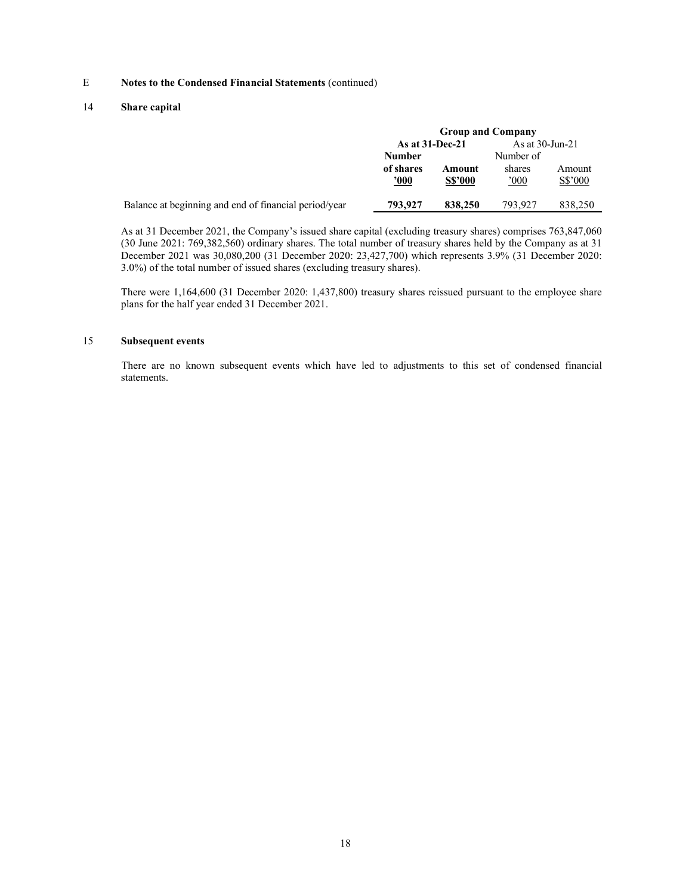### 14 Share capital

|                                                       | <b>Group and Company</b> |                |                    |         |  |
|-------------------------------------------------------|--------------------------|----------------|--------------------|---------|--|
|                                                       | As at $31$ -Dec-21       |                | As at $30$ -Jun-21 |         |  |
|                                                       | <b>Number</b>            |                | Number of          |         |  |
|                                                       | of shares                | Amount         | shares             | Amount  |  |
|                                                       | $\frac{1000}{1000}$      | <b>S\$'000</b> | 000'               | S\$'000 |  |
| Balance at beginning and end of financial period/year | 793,927                  | 838,250        | 793.927            | 838,250 |  |

As at 31 December 2021, the Company's issued share capital (excluding treasury shares) comprises 763,847,060 (30 June 2021: 769,382,560) ordinary shares. The total number of treasury shares held by the Company as at 31 December 2021 was 30,080,200 (31 December 2020: 23,427,700) which represents 3.9% (31 December 2020: 3.0%) of the total number of issued shares (excluding treasury shares).

There were 1,164,600 (31 December 2020: 1,437,800) treasury shares reissued pursuant to the employee share plans for the half year ended 31 December 2021.

## 15 Subsequent events

 There are no known subsequent events which have led to adjustments to this set of condensed financial statements.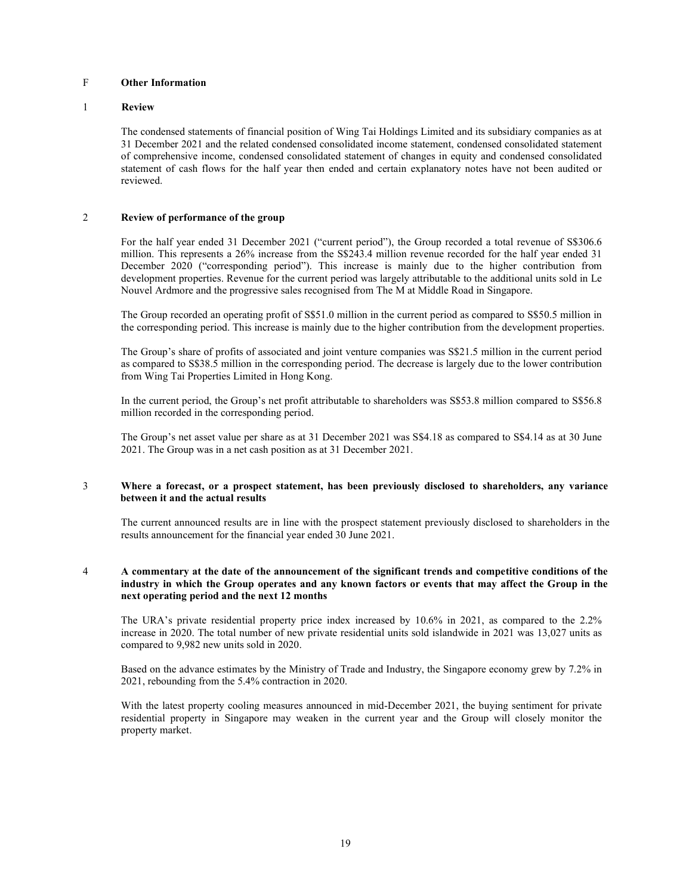## F Other Information

#### 1 Review

The condensed statements of financial position of Wing Tai Holdings Limited and its subsidiary companies as at 31 December 2021 and the related condensed consolidated income statement, condensed consolidated statement of comprehensive income, condensed consolidated statement of changes in equity and condensed consolidated statement of cash flows for the half year then ended and certain explanatory notes have not been audited or reviewed.

### 2 Review of performance of the group

For the half year ended 31 December 2021 ("current period"), the Group recorded a total revenue of S\$306.6 million. This represents a 26% increase from the S\$243.4 million revenue recorded for the half year ended 31 December 2020 ("corresponding period"). This increase is mainly due to the higher contribution from development properties. Revenue for the current period was largely attributable to the additional units sold in Le Nouvel Ardmore and the progressive sales recognised from The M at Middle Road in Singapore.

The Group recorded an operating profit of S\$51.0 million in the current period as compared to S\$50.5 million in the corresponding period. This increase is mainly due to the higher contribution from the development properties.

The Group's share of profits of associated and joint venture companies was S\$21.5 million in the current period as compared to S\$38.5 million in the corresponding period. The decrease is largely due to the lower contribution from Wing Tai Properties Limited in Hong Kong.

In the current period, the Group's net profit attributable to shareholders was S\$53.8 million compared to S\$56.8 million recorded in the corresponding period.

The Group's net asset value per share as at 31 December 2021 was S\$4.18 as compared to S\$4.14 as at 30 June 2021. The Group was in a net cash position as at 31 December 2021.

#### 3 Where a forecast, or a prospect statement, has been previously disclosed to shareholders, any variance between it and the actual results

The current announced results are in line with the prospect statement previously disclosed to shareholders in the results announcement for the financial year ended 30 June 2021.

### 4 A commentary at the date of the announcement of the significant trends and competitive conditions of the industry in which the Group operates and any known factors or events that may affect the Group in the next operating period and the next 12 months

The URA's private residential property price index increased by 10.6% in 2021, as compared to the 2.2% increase in 2020. The total number of new private residential units sold islandwide in 2021 was 13,027 units as compared to 9,982 new units sold in 2020.

Based on the advance estimates by the Ministry of Trade and Industry, the Singapore economy grew by 7.2% in 2021, rebounding from the 5.4% contraction in 2020.

With the latest property cooling measures announced in mid-December 2021, the buying sentiment for private residential property in Singapore may weaken in the current year and the Group will closely monitor the property market.